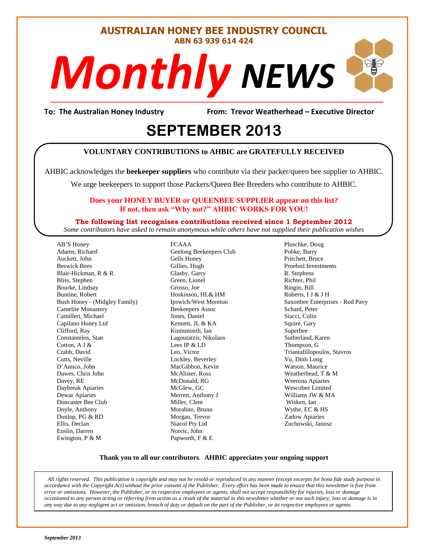#### **AUSTRALIAN HONEY BEE INDUSTRY COUNCIL ABN 63 939 614 424**

# Monthly NEWS

**To: The Australian Honey Industry From: Trevor Weatherhead – Executive Director**

S

# EPTEMBER 2013

#### **VOLUNTARY CONTRIBUTIONS to AHBIC are GRATEFULLY RECEIVED**

AHBIC acknowledges the **beekeeper suppliers** who contribute via their packer/queen bee supplier to AHBIC.

We urge beekeepers to support those Packers/Queen Bee Breeders who contribute to AHBIC.

#### **Does your HONEY BUYER or QUEENBEE SUPPLIER appear on this list? If not, then ask "Why not?" AHBIC WORKS FOR YOU!**

**The following list recognises contributions received since 1 September 2012** *Some contributors have asked to remain anonymous while others have not supplied their publication wishes*

AB'S Honey Adams, Richard Auckett, John Beswick Bees Blair-Hickman, R & R Bliss, Stephen Bourke, Lindsay Buntine, Robert Bush Honey - (Midgley Family) Camelite Monastery Camilleri, Michael Capilano Honey Ltd Clifford, Ray Constantelos, Stan Cotton, A J & Crabb, David Cutts, Neville D'Amico, John Dawes, Chris John Davey, RE Daybreak Apiaries Dewar Apiaries Doncaster Bee Club Doyle, Anthony Dunlop, PG & RD Ellis, Declan Enslin, Darren Ewington, P & M

FCAAA Geelong Beekeepers Club Gells Honey Gillies, Hugh Glasby, Garry Green, Lionel Grosso, Joe Hoskinson, HL& HM Ipswich/West Moreton Beekeepers Assoc Jones, Daniel Kennett, JL & KA Kininmonth, Ian Lagoutatzis, Nikolaos Lees IP & LD Leo, Victor Lockley, Beverley MacGibbon, Kevin McAlister, Ross McDonald, RG McGlew, GC Merrett, Anthony J Miller, Clem Morabito, Bruno Morgan, Trevor Niacol Pty Ltd Norcic, John Papworth, F & E

Pluschke, Doug Pobke, Barry Pritchett, Bruce Proebstl Investments R. Stephens Richter, Phil Ringin, Bill Roberts, I J & J H Saxonbee Enterprises - Rod Pavy Schard, Peter Siacci, Colin Squire, Gary Superbee Sutherland, Karen Thompson, G Triantafillopoulos, Stavros Vu, Dinh Long Watson, Maurice Weatherhead, T & M Weerona Apiaries Wescobee Limited Williams JW & MA Wisken, Ian Wythe, EC & HS Zadow Apiaries Zuchowski, Janusz

#### **Thank you to all our contributors***.* **AHBIC appreciates your ongoing support** .

*All rights reserved. This publication is copyright and may not be resold or reproduced in any manner (except excerpts for bona fide study purpose in accordance with the Copyright Act) without the prior consent of the Publisher. Every effort has been made to ensure that this newsletter is free from error or omissions. However, the Publisher, or its respective employees or agents, shall not accept responsibility for injuries, loss or damage occasioned to any person acting or referring from action as a result of the material in this newsletter whether or not such injury, loss or damage is in any way due to any negligent act or omission, breach of duty or default on the part of the Publisher, or its respective employees or agents.*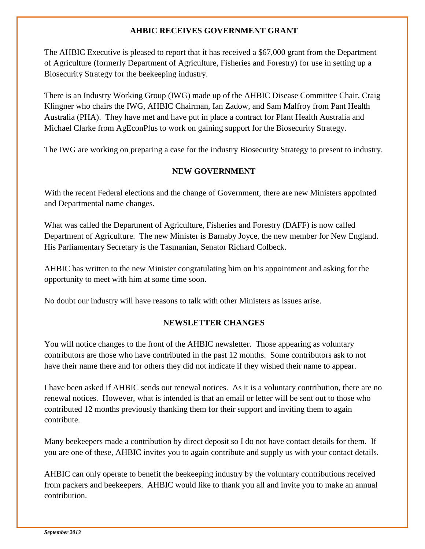#### **AHBIC RECEIVES GOVERNMENT GRANT**

The AHBIC Executive is pleased to report that it has received a \$67,000 grant from the Department of Agriculture (formerly Department of Agriculture, Fisheries and Forestry) for use in setting up a Biosecurity Strategy for the beekeeping industry.

There is an Industry Working Group (IWG) made up of the AHBIC Disease Committee Chair, Craig Klingner who chairs the IWG, AHBIC Chairman, Ian Zadow, and Sam Malfroy from Pant Health Australia (PHA). They have met and have put in place a contract for Plant Health Australia and Michael Clarke from AgEconPlus to work on gaining support for the Biosecurity Strategy.

The IWG are working on preparing a case for the industry Biosecurity Strategy to present to industry.

#### **NEW GOVERNMENT**

With the recent Federal elections and the change of Government, there are new Ministers appointed and Departmental name changes.

What was called the Department of Agriculture, Fisheries and Forestry (DAFF) is now called Department of Agriculture. The new Minister is Barnaby Joyce, the new member for New England. His Parliamentary Secretary is the Tasmanian, Senator Richard Colbeck.

AHBIC has written to the new Minister congratulating him on his appointment and asking for the opportunity to meet with him at some time soon.

No doubt our industry will have reasons to talk with other Ministers as issues arise.

#### **NEWSLETTER CHANGES**

You will notice changes to the front of the AHBIC newsletter. Those appearing as voluntary contributors are those who have contributed in the past 12 months. Some contributors ask to not have their name there and for others they did not indicate if they wished their name to appear.

I have been asked if AHBIC sends out renewal notices. As it is a voluntary contribution, there are no renewal notices. However, what is intended is that an email or letter will be sent out to those who contributed 12 months previously thanking them for their support and inviting them to again contribute.

Many beekeepers made a contribution by direct deposit so I do not have contact details for them. If you are one of these, AHBIC invites you to again contribute and supply us with your contact details.

AHBIC can only operate to benefit the beekeeping industry by the voluntary contributions received from packers and beekeepers. AHBIC would like to thank you all and invite you to make an annual contribution.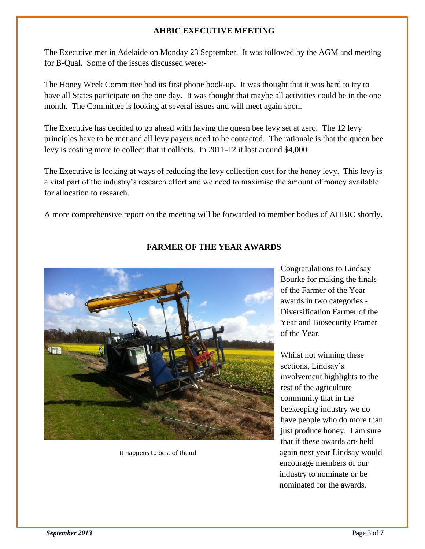#### **AHBIC EXECUTIVE MEETING**

The Executive met in Adelaide on Monday 23 September. It was followed by the AGM and meeting for B-Qual. Some of the issues discussed were:-

The Honey Week Committee had its first phone hook-up. It was thought that it was hard to try to have all States participate on the one day. It was thought that maybe all activities could be in the one month. The Committee is looking at several issues and will meet again soon.

The Executive has decided to go ahead with having the queen bee levy set at zero. The 12 levy principles have to be met and all levy payers need to be contacted. The rationale is that the queen bee levy is costing more to collect that it collects. In 2011-12 it lost around \$4,000.

The Executive is looking at ways of reducing the levy collection cost for the honey levy. This levy is a vital part of the industry's research effort and we need to maximise the amount of money available for allocation to research.

A more comprehensive report on the meeting will be forwarded to member bodies of AHBIC shortly.



#### **FARMER OF THE YEAR AWARDS**

Congratulations to Lindsay Bourke for making the finals of the Farmer of the Year awards in two categories - Diversification Farmer of the Year and Biosecurity Framer of the Year.

Whilst not winning these sections, Lindsay's involvement highlights to the rest of the agriculture community that in the beekeeping industry we do have people who do more than just produce honey. I am sure that if these awards are held It happens to best of them! again next year Lindsay would encourage members of our industry to nominate or be nominated for the awards.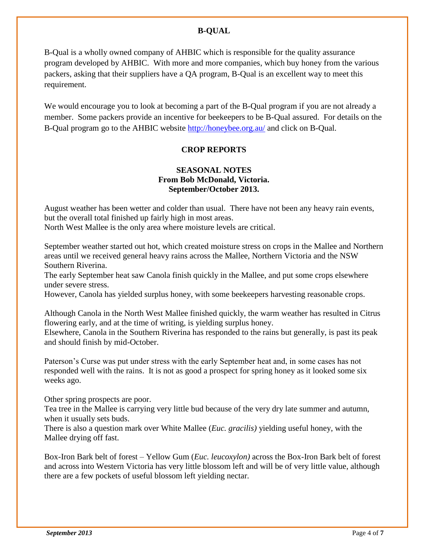#### **B-QUAL**

B-Qual is a wholly owned company of AHBIC which is responsible for the quality assurance program developed by AHBIC. With more and more companies, which buy honey from the various packers, asking that their suppliers have a QA program, B-Qual is an excellent way to meet this requirement.

We would encourage you to look at becoming a part of the B-Qual program if you are not already a member. Some packers provide an incentive for beekeepers to be B-Qual assured. For details on the B-Qual program go to the AHBIC website<http://honeybee.org.au/> and click on B-Qual.

#### **CROP REPORTS**

#### **SEASONAL NOTES From Bob McDonald, Victoria. September/October 2013.**

August weather has been wetter and colder than usual. There have not been any heavy rain events, but the overall total finished up fairly high in most areas.

North West Mallee is the only area where moisture levels are critical.

September weather started out hot, which created moisture stress on crops in the Mallee and Northern areas until we received general heavy rains across the Mallee, Northern Victoria and the NSW Southern Riverina.

The early September heat saw Canola finish quickly in the Mallee, and put some crops elsewhere under severe stress.

However, Canola has yielded surplus honey, with some beekeepers harvesting reasonable crops.

Although Canola in the North West Mallee finished quickly, the warm weather has resulted in Citrus flowering early, and at the time of writing, is yielding surplus honey.

Elsewhere, Canola in the Southern Riverina has responded to the rains but generally, is past its peak and should finish by mid-October.

Paterson's Curse was put under stress with the early September heat and, in some cases has not responded well with the rains. It is not as good a prospect for spring honey as it looked some six weeks ago.

Other spring prospects are poor.

Tea tree in the Mallee is carrying very little bud because of the very dry late summer and autumn, when it usually sets buds.

There is also a question mark over White Mallee (*Euc. gracilis)* yielding useful honey, with the Mallee drying off fast.

Box-Iron Bark belt of forest – Yellow Gum (*Euc. leucoxylon)* across the Box-Iron Bark belt of forest and across into Western Victoria has very little blossom left and will be of very little value, although there are a few pockets of useful blossom left yielding nectar.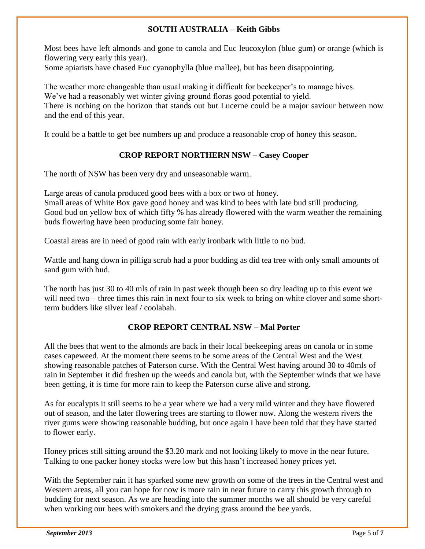#### **SOUTH AUSTRALIA – Keith Gibbs**

Most bees have left almonds and gone to canola and Euc leucoxylon (blue gum) or orange (which is flowering very early this year).

Some apiarists have chased Euc cyanophylla (blue mallee), but has been disappointing.

The weather more changeable than usual making it difficult for beekeeper's to manage hives. We've had a reasonably wet winter giving ground floras good potential to yield. There is nothing on the horizon that stands out but Lucerne could be a major saviour between now and the end of this year.

It could be a battle to get bee numbers up and produce a reasonable crop of honey this season.

#### **CROP REPORT NORTHERN NSW – Casey Cooper**

The north of NSW has been very dry and unseasonable warm.

Large areas of canola produced good bees with a box or two of honey. Small areas of White Box gave good honey and was kind to bees with late bud still producing. Good bud on yellow box of which fifty % has already flowered with the warm weather the remaining buds flowering have been producing some fair honey.

Coastal areas are in need of good rain with early ironbark with little to no bud.

Wattle and hang down in pilliga scrub had a poor budding as did tea tree with only small amounts of sand gum with bud.

The north has just 30 to 40 mls of rain in past week though been so dry leading up to this event we will need two – three times this rain in next four to six week to bring on white clover and some shortterm budders like silver leaf / coolabah.

#### **CROP REPORT CENTRAL NSW – Mal Porter**

All the bees that went to the almonds are back in their local beekeeping areas on canola or in some cases capeweed. At the moment there seems to be some areas of the Central West and the West showing reasonable patches of Paterson curse. With the Central West having around 30 to 40mls of rain in September it did freshen up the weeds and canola but, with the September winds that we have been getting, it is time for more rain to keep the Paterson curse alive and strong.

As for eucalypts it still seems to be a year where we had a very mild winter and they have flowered out of season, and the later flowering trees are starting to flower now. Along the western rivers the river gums were showing reasonable budding, but once again I have been told that they have started to flower early.

Honey prices still sitting around the \$3.20 mark and not looking likely to move in the near future. Talking to one packer honey stocks were low but this hasn't increased honey prices yet.

With the September rain it has sparked some new growth on some of the trees in the Central west and Western areas, all you can hope for now is more rain in near future to carry this growth through to budding for next season. As we are heading into the summer months we all should be very careful when working our bees with smokers and the drying grass around the bee yards.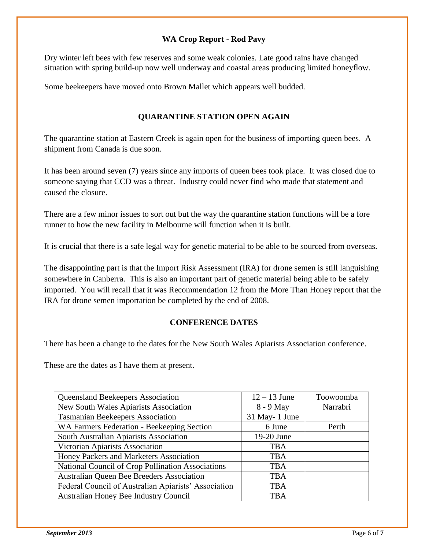#### **WA Crop Report - Rod Pavy**

Dry winter left bees with few reserves and some weak colonies. Late good rains have changed situation with spring build-up now well underway and coastal areas producing limited honeyflow.

Some beekeepers have moved onto Brown Mallet which appears well budded.

#### **QUARANTINE STATION OPEN AGAIN**

The quarantine station at Eastern Creek is again open for the business of importing queen bees. A shipment from Canada is due soon.

It has been around seven (7) years since any imports of queen bees took place. It was closed due to someone saying that CCD was a threat. Industry could never find who made that statement and caused the closure.

There are a few minor issues to sort out but the way the quarantine station functions will be a fore runner to how the new facility in Melbourne will function when it is built.

It is crucial that there is a safe legal way for genetic material to be able to be sourced from overseas.

The disappointing part is that the Import Risk Assessment (IRA) for drone semen is still languishing somewhere in Canberra. This is also an important part of genetic material being able to be safely imported. You will recall that it was Recommendation 12 from the More Than Honey report that the IRA for drone semen importation be completed by the end of 2008.

#### **CONFERENCE DATES**

There has been a change to the dates for the New South Wales Apiarists Association conference.

These are the dates as I have them at present.

| Queensland Beekeepers Association                    | $12 - 13$ June | Toowoomba |
|------------------------------------------------------|----------------|-----------|
| New South Wales Apiarists Association                | 8 - 9 May      | Narrabri  |
| <b>Tasmanian Beekeepers Association</b>              | 31 May-1 June  |           |
| WA Farmers Federation - Beekeeping Section           | 6 June         | Perth     |
| South Australian Apiarists Association               | 19-20 June     |           |
| Victorian Apiarists Association                      | <b>TBA</b>     |           |
| Honey Packers and Marketers Association              | <b>TBA</b>     |           |
| National Council of Crop Pollination Associations    | <b>TBA</b>     |           |
| <b>Australian Queen Bee Breeders Association</b>     | <b>TBA</b>     |           |
| Federal Council of Australian Apiarists' Association | <b>TBA</b>     |           |
| <b>Australian Honey Bee Industry Council</b>         | <b>TBA</b>     |           |